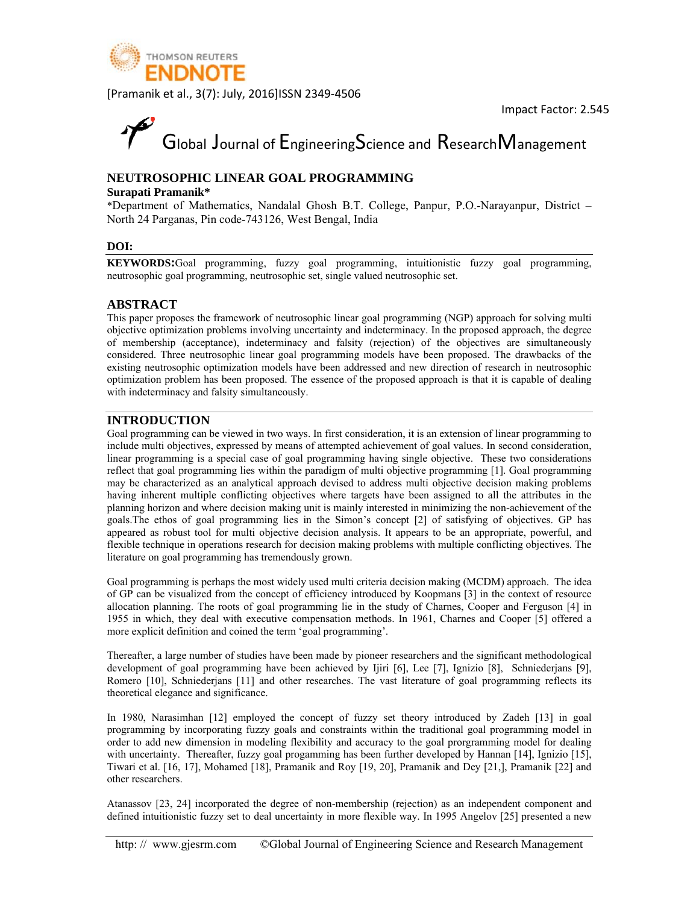

# Global Journal of EngineeringScience and ResearchManagement

#### NEUTROSOPHIC LINEAR GOAL PROGRAMMING

#### Surapati Pramanik\*

\*Department of Mathematics, Nandalal Ghosh B.T. College, Panpur, P.O.-Narayanpur, District -North 24 Parganas, Pin code-743126, West Bengal, India

#### DOI:

KEYWORDS:Goal programming, fuzzy goal programming, intuitionistic fuzzy goal programming, neutrosophic goal programming, neutrosophic set, single valued neutrosophic set.

#### **ABSTRACT**

This paper proposes the framework of neutrosophic linear goal programming (NGP) approach for solving multi objective optimization problems involving uncertainty and indeterminacy. In the proposed approach, the degree of membership (acceptance), indeterminacy and falsity (rejection) of the objectives are simultaneously considered. Three neutrosophic linear goal programming models have been proposed. The drawbacks of the existing neutrosophic optimization models have been addressed and new direction of research in neutrosophic optimization problem has been proposed. The essence of the proposed approach is that it is capable of dealing with indeterminacy and falsity simultaneously.

#### **INTRODUCTION**

Goal programming can be viewed in two ways. In first consideration, it is an extension of linear programming to include multi objectives, expressed by means of attempted achievement of goal values. In second consideration, linear programming is a special case of goal programming having single objective. These two considerations reflect that goal programming lies within the paradigm of multi objective programming [1]. Goal programming may be characterized as an analytical approach devised to address multi objective decision making problems having inherent multiple conflicting objectives where targets have been assigned to all the attributes in the planning horizon and where decision making unit is mainly interested in minimizing the non-achievement of the goals. The ethos of goal programming lies in the Simon's concept [2] of satisfying of objectives. GP has appeared as robust tool for multi objective decision analysis. It appears to be an appropriate, powerful, and flexible technique in operations research for decision making problems with multiple conflicting objectives. The literature on goal programming has tremendously grown.

Goal programming is perhaps the most widely used multi criteria decision making (MCDM) approach. The idea of GP can be visualized from the concept of efficiency introduced by Koopmans [3] in the context of resource allocation planning. The roots of goal programming lie in the study of Charnes, Cooper and Ferguson [4] in 1955 in which, they deal with executive compensation methods. In 1961, Charnes and Cooper [5] offered a more explicit definition and coined the term 'goal programming'.

Thereafter, a large number of studies have been made by pioneer researchers and the significant methodological development of goal programming have been achieved by Ijiri [6], Lee [7], Ignizio [8], Schniederjans [9], Romero [10], Schniederjans [11] and other researches. The vast literature of goal programming reflects its theoretical elegance and significance.

In 1980, Narasimhan [12] employed the concept of fuzzy set theory introduced by Zadeh [13] in goal programming by incorporating fuzzy goals and constraints within the traditional goal programming model in order to add new dimension in modeling flexibility and accuracy to the goal prorgramming model for dealing with uncertainty. Thereafter, fuzzy goal progamming has been further developed by Hannan [14], Ignizio [15], Tiwari et al. [16, 17], Mohamed [18], Pramanik and Roy [19, 20], Pramanik and Dey [21,], Pramanik [22] and other researchers.

Atanassov [23, 24] incorporated the degree of non-membership (rejection) as an independent component and defined intuitionistic fuzzy set to deal uncertainty in more flexible way. In 1995 Angelov [25] presented a new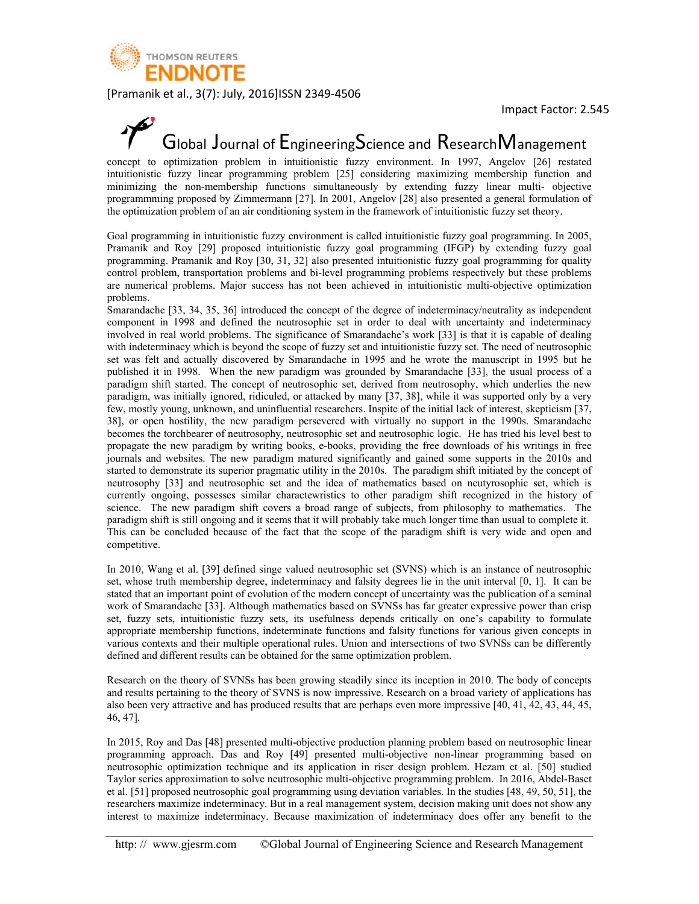

### Global Journal of Engineering Science and Research Management

concept to optimization problem in intuitionistic fuzzy environment. In 1997, Angelov [26] restated intuitionistic fuzzy linear programming problem [25] considering maximizing membership function and minimizing the non-membership functions simultaneously by extending fuzzy linear multi-objective programmming proposed by Zimmermann [27]. In 2001, Angelov [28] also presented a general formulation of the optimization problem of an air conditioning system in the framework of intuitionistic fuzzy set theory.

Goal programming in intuitionistic fuzzy environment is called intuitionistic fuzzy goal programming. In 2005, Pramanik and Roy [29] proposed intuitionistic fuzzy goal programming (IFGP) by extending fuzzy goal programming. Pramanik and Roy [30, 31, 32] also presented intuitionistic fuzzy goal programming for quality control problem, transportation problems and bi-level programming problems respectively but these problems are numerical problems. Major success has not been achieved in intuitionistic multi-objective optimization problems.

Smarandache [33, 34, 35, 36] introduced the concept of the degree of indeterminacy/neutrality as independent component in 1998 and defined the neutrosophic set in order to deal with uncertainty and indeterminacy involved in real world problems. The significance of Smarandache's work [33] is that it is capable of dealing with indeterminacy which is beyond the scope of fuzzy set and intuitionistic fuzzy set. The need of neutrosophic set was felt and actually discovered by Smarandache in 1995 and he wrote the manuscript in 1995 but he published it in 1998. When the new paradigm was grounded by Smarandache [33], the usual process of a paradigm shift started. The concept of neutrosophic set, derived from neutrosophy, which underlies the new paradigm, was initially ignored, ridiculed, or attacked by many [37, 38], while it was supported only by a very few, mostly young, unknown, and uninfluential researchers. Inspite of the initial lack of interest, skepticism [37, 38], or open hostility, the new paradigm persevered with virtually no support in the 1990s. Smarandache becomes the torchbearer of neutrosophy, neutrosophic set and neutrosophic logic. He has tried his level best to propagate the new paradigm by writing books, e-books, providing the free downloads of his writings in free journals and websites. The new paradigm matured significantly and gained some supports in the 2010s and started to demonstrate its superior pragmatic utility in the 2010s. The paradigm shift initiated by the concept of neutrosophy [33] and neutrosophic set and the idea of mathematics based on neutyrosophic set, which is currently ongoing, possesses similar charactewristics to other paradigm shift recognized in the history of science. The new paradigm shift covers a broad range of subjects, from philosophy to mathematics. The paradigm shift is still ongoing and it seems that it will probably take much longer time than usual to complete it. This can be concluded because of the fact that the scope of the paradigm shift is very wide and open and competitive.

In 2010, Wang et al. [39] defined singe valued neutrosophic set (SVNS) which is an instance of neutrosophic set, whose truth membership degree, indeterminacy and falsity degrees lie in the unit interval [0, 1]. It can be stated that an important point of evolution of the modern concept of uncertainty was the publication of a seminal work of Smarandache [33]. Although mathematics based on SVNSs has far greater expressive power than crisp set, fuzzy sets, intuitionistic fuzzy sets, its usefulness depends critically on one's capability to formulate appropriate membership functions, indeterminate functions and falsity functions for various given concepts in various contexts and their multiple operational rules. Union and intersections of two SVNSs can be differently defined and different results can be obtained for the same optimization problem.

Research on the theory of SVNSs has been growing steadily since its inception in 2010. The body of concepts and results pertaining to the theory of SVNS is now impressive. Research on a broad variety of applications has also been very attractive and has produced results that are perhaps even more impressive [40, 41, 42, 43, 44, 45, 46, 47].

In 2015, Roy and Das [48] presented multi-objective production planning problem based on neutrosophic linear programming approach. Das and Roy [49] presented multi-objective non-linear programming based on neutrosophic optimization technique and its application in riser design problem. Hezam et al. [50] studied Taylor series approximation to solve neutrosophic multi-objective programming problem. In 2016, Abdel-Baset et al. [51] proposed neutrosophic goal programming using deviation variables. In the studies [48, 49, 50, 51], the researchers maximize indeterminacy. But in a real management system, decision making unit does not show any interest to maximize indeterminacy. Because maximization of indeterminacy does offer any benefit to the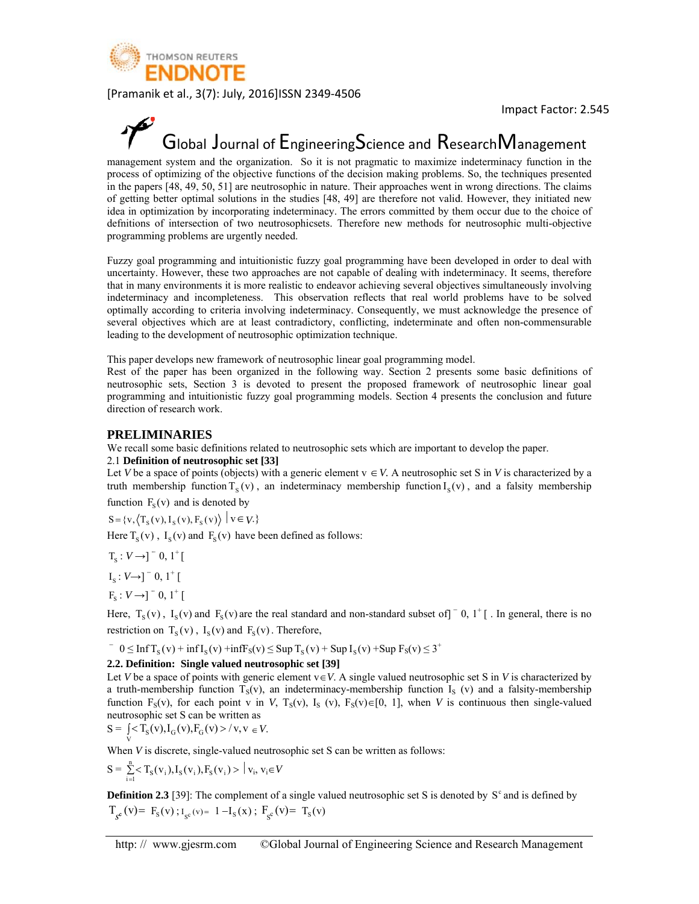

## Global Journal of EngineeringScience and ResearchManagement

management system and the organization. So it is not pragmatic to maximize indeterminacy function in the process of optimizing of the objective functions of the decision making problems. So, the techniques presented in the papers [48, 49, 50, 51] are neutrosophic in nature. Their approaches went in wrong directions. The claims of getting better optimal solutions in the studies [48, 49] are therefore not valid. However, they initiated new idea in optimization by incorporating indeterminacy. The errors committed by them occur due to the choice of definitions of intersection of two neutrosophicsets. Therefore new methods for neutrosophic multi-objective programming problems are urgently needed.

Fuzzy goal programming and intuitionistic fuzzy goal programming have been developed in order to deal with uncertainty. However, these two approaches are not capable of dealing with indeterminacy. It seems, therefore that in many environments it is more realistic to endeavor achieving several objectives simultaneously involving indeterminacy and incompleteness. This observation reflects that real world problems have to be solved optimally according to criteria involving indeterminacy. Consequently, we must acknowledge the presence of several objectives which are at least contradictory, conflicting, indeterminate and often non-commensurable leading to the development of neutrosophic optimization technique.

This paper develops new framework of neutrosophic linear goal programming model.

Rest of the paper has been organized in the following way. Section 2 presents some basic definitions of neutrosophic sets, Section 3 is devoted to present the proposed framework of neutrosophic linear goal programming and intuitionistic fuzzy goal programming models. Section 4 presents the conclusion and future direction of research work.

#### **PRELIMINARIES**

We recall some basic definitions related to neutrosophic sets which are important to develop the paper.

#### 2.1 Definition of neutrosophic set [33]

Let V be a space of points (objects) with a generic element  $v \in V$ . A neutrosophic set S in V is characterized by a truth membership function  $T_s(v)$ , an indeterminacy membership function  $I_s(v)$ , and a falsity membership function  $F_s(v)$  and is denoted by

 $S = \{v, \langle T_s(v), I_s(v), F_s(v) \rangle \mid v \in V.\}$ 

Here  $T_s(v)$ ,  $I_s(v)$  and  $F_s(v)$  have been defined as follows:

 $T_s: V \rightarrow ]-0, 1^+[$ 

 $I_s: V \rightarrow \rceil^{\sim} 0, 1^{\circ}$ 

 $F_s: V \rightarrow ]^{-} 0, 1^+$ 

Here,  $T_s(v)$ ,  $I_s(v)$  and  $F_s(v)$  are the real standard and non-standard subset of  $\begin{bmatrix} 0 & 1 \\ 1 & 0 \end{bmatrix}$ . In general, there is no restriction on  $T_s(v)$ ,  $I_s(v)$  and  $F_s(v)$ . Therefore,

 $\overline{y}$  0  $\leq$  InfT<sub>s</sub>(v) + infT<sub>s</sub>(v) + infF<sub>s</sub>(v)  $\leq$  SupT<sub>s</sub>(v) + SupT<sub>s</sub>(v) + Sup F<sub>s</sub>(v)  $\leq$  3<sup>+</sup>

#### 2.2. Definition: Single valued neutrosophic set [39]

Let V be a space of points with generic element  $v \in V$ . A single valued neutrosophic set S in V is characterized by a truth-membership function  $T_S(v)$ , an indeterminacy-membership function  $I_S(v)$  and a falsity-membership function F<sub>s</sub>(v), for each point v in V, T<sub>s</sub>(v), I<sub>s</sub> (v), F<sub>s</sub>(v) $\in$ [0, 1], when V is continuous then single-valued neutrosophic set S can be written as

 $S = \int < T_S(v), I_G(v), F_G(v) > / v, v \in V.$ 

When  $V$  is discrete, single-valued neutrosophic set  $S$  can be written as follows:

$$
S = \sum_{i=1}^{n} \langle T_S(v_i), I_S(v_i), F_S(v_i) \rangle | v_i, v_i \in V
$$

**Definition 2.3** [39]: The complement of a single valued neutrosophic set S is denoted by  $S<sup>c</sup>$  and is defined by  $T_{\rm gc}(v) = F_{\rm S}(v)$ ;  $I_{\rm gc}(v) = 1 - I_{\rm S}(x)$ ;  $F_{\rm gc}(v) = T_{\rm S}(v)$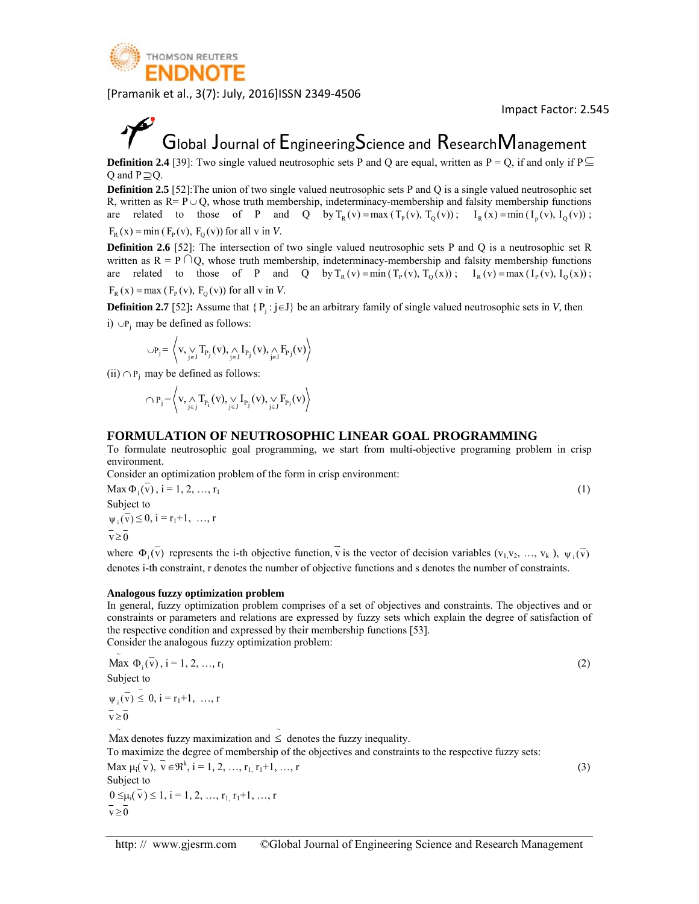

Imp pact Factor: 2 2.545

### Global Journal of  ${\sf Engineering}$ Science and  ${\sf Research}$ Management

**Definition 2.4** [39]: Two single valued neutrosophic sets P and Q are equal, written as  $P = Q$ , if and only if P Q and  $P \supseteq Q$ .

**Definition 2.5** [52]: The union of two single valued neutrosophic sets P and Q is a single valued neutrosophic set R, written as  $R = P \cup Q$ , whose truth membership, indeterminacy-membership and falsity membership functions are related to those of P and Q by  $T_R(v) = \max(T_P(v), T_Q(v))$ ;  $I_R(x) = \min(T_P(v), I_Q(v))$ ;  $F_R(x) = min(F_P(v), F_Q(v))$  for all v in *V*.

**Definition 2.6** [52]: The intersection of two single valued neutrosophic sets P and Q is a neutrosophic set R written as  $R = P \cap Q$ , whose truth membership, indeterminacy-membership and falsity membership functions are related to those of P and Q by  $T_R(v) = min(T_P(v), T_Q(x))$ ;  $I_R(v) = max(I_P(v), I_Q(x))$ ;  $F_R(x) = max (F_P(v), F_Q(v))$  for all v in V. t⊆

**Definition 2.7** [52]: Assume that  $\{P_j : j \in J\}$  be an arbitrary family of single valued neutrosophic sets in *V*, then i) ∪P<sub>j</sub> may be defined as follows: n<br>risp

$$
\cup P_j = \left\langle v, \bigvee_{j \in J} T_{P_j}(v), \bigwedge_{j \in J} I_{P_j}(v), \bigwedge_{j \in J} F_{P_j}(v) \right\rangle
$$

(ii) ∩  $P_i$  may be defined as follows:

$$
\bigcap P_j = \bigg\langle v, \bigwedge_{j \in j} T_{P_i}(v), \bigvee_{j \in J} I_{P_j}(v), \bigvee_{j \in J} F_{P_i}(v) \bigg\rangle
$$

#### **FORMULATION OF NEUTROSOPHIC LINEAR GOAL PROGRAMMING**

To formulate neutrosophic goal programming, we start from multi-objective programing problem in cri environment.

Consider an optimization problem of the form in crisp environment:

 $\text{Max } \Phi_i(v), i = 1, 2, ..., r_1$ Subject to  $\psi_i(\overline{v}) \leq 0$ ,  $i = r_1 + 1, \dots, r$  $\bar{v} \geq 0$ 

Consider an optimization problem of the form in crisp environment:<br>
Max  $\Phi_i(\overline{v})$ ,  $i = 1, 2, ..., r_1$ <br>
Subject to<br>  $\psi_i(\overline{v}) \le 0$ ,  $i = r_1 + 1, ..., r$ <br>  $\overline{v} \ge 0$ <br>
where  $\Phi_i(\overline{v})$  represents the i-th objective function,  $\overline$ denotes i-th constraint, r denotes the number of objective functions and s denotes the number of constraints.

#### Analogous fuzzy optimization problem

In general, fuzzy optimization problem comprises of a set of objectives and constraints. The objectives and or constraints or parameters and relations are expressed by fuzzy sets which explain the degree of satisfaction of the respective condition and expressed by their membership functions [53].

Consider the analogous fuzzy optimization problem:  $\mathbf{r}$ 

$$
\widetilde{\text{Max }} \Phi_i(\overline{v}), i = 1, 2, ..., r_1
$$
\n
$$
\text{Subject to}
$$
\n
$$
\psi_i(\overline{v}) \leq 0, i = r_1 + 1, ..., r
$$
\n
$$
\overline{v} \geq 0
$$

Max denotes fuzzy maximization and  $\leq$  denotes the fuzzy inequality.

To maximize the degree of membership of the objectives and constraints to the respective fuzzy sets:

Max  $\mu_i(\overline{v})$ ,  $\overline{v} \in \mathbb{R}^k$ ,  $i = 1, 2, ..., r_1, r_1+1, ..., r$ Subject to  $0 \leq \mu_i(v) \leq 1, i = 1, 2, ..., r_1, r_1+1, ..., r$  $\bar{v} \geq 0$ 

(3 3)

 $(2)$ 

( 1)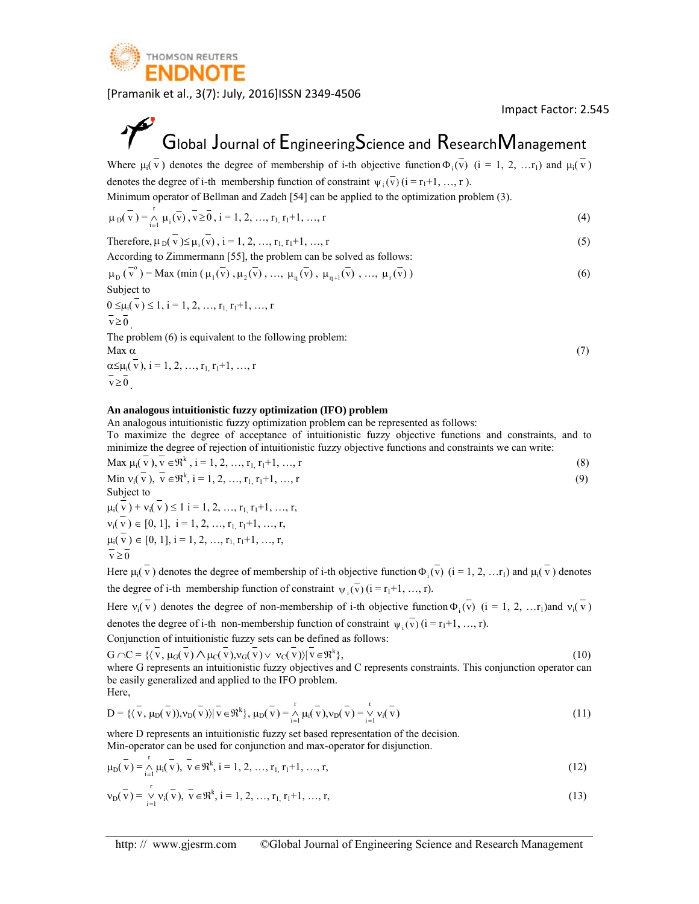

 $(7)$ 

## Global Journal of  ${\sf Engineering}$ Science and  ${\sf Research}$ Management

Where  $\mu_i(v)$  denotes the degree of membership of i-th objective function  $\Phi_i(v)$  (i = 1, 2, ...r<sub>1</sub>) and  $\mu_i(v)$ denotes the degree of i-th membership function of constraint  $\psi_i(\overline{v})$  ( $i = r_1+1, ..., r$ ). v ) (4) (5) (6) 7) to 8) 9) tes (v ) (0) an (1) 2) (1) 1) 2) 1) to (3) 9) tes (v ) (0) an (1) 2) 1) t

Minimum operator of Bellman and Zadeh [54] can be applied to the optimization problem (3). r

$$
\mu_D(\bar{v}) = \underset{i=1}{\wedge} \mu_i(\bar{v}), \bar{v} \ge 0, \, i = 1, 2, ..., r_1, r_1 + 1, ..., r
$$
\n<sup>(4)</sup>

Therefore, 
$$
\mu_D(\overline{v}) \le \mu_i(\overline{v})
$$
,  $i = 1, 2, ..., r_1, r_1+1, ..., r$  (5)

According to Zimmermann [55], the problem can be solved as follows:

$$
\mu_{\mathcal{D}}(\overline{v}^{\circ}) = \text{Max (min } (\mu_1(\overline{v}), \mu_2(\overline{v}), \dots, \mu_{\eta}(\overline{v}), \mu_{\eta+1}(\overline{v}), \dots, \mu_{\eta}(\overline{v}))
$$
\nSubject to

\n
$$
(6)
$$

$$
0 \le \mu_i(\bar{v}) \le 1, i = 1, 2, ..., r_1, r_1+1, ..., r
$$
  

$$
\bar{v} \ge 0
$$

The problem  $(6)$  is equivalent to the following problem:

Max α

 $\alpha \leq \mu_i(v), i = 1, 2, ..., r_{1,} r_1 + 1, ..., r$  $\overline{v} \geq 0$ 

#### An analogous intuitionistic fuzzy optimization (IFO) problem

An analogous intuitionistic fuzzy optimization problem can be represented as follows:

To maximize the degree of acceptance of intuitionistic fuzzy objective functions and constraints, and to minimize the degree of rejection of intuitionistic fuzzy objective functions and constraints we can write:

$$
\text{Max } \mu_i(\overline{v}), \overline{v} \in \mathfrak{R}^k, \, i = 1, 2, \dots, r_1, r_1 + 1, \dots, r \tag{8}
$$

Min 
$$
v_i(\overline{v})
$$
,  $\overline{v} \in \mathfrak{R}^k$ ,  $i = 1, 2, ..., r_1, r_1+1, ..., r$  (9)

Subject to  $\mu_i(v) + \nu_i(v) \le 1$  i = 1, 2, ...,  $r_1, r_1+1, ..., r$ ,  $v_i(v) \in [0, 1], i = 1, 2, ..., r_{1,} r_1 + 1, ..., r,$  $\mu_i(v) \in [0, 1], i = 1, 2, ..., r_{1,} r_1 + 1, ..., r,$  $\overline{v} > \overline{0}$ 

Here  $\mu_i(v)$  denotes the degree of membership of i-th objective function  $\Phi_i(v)$  (i = 1, 2, ...r<sub>1</sub>) and  $\mu_i(v)$  denotes the degree of i-th membership function of constraint  $\psi_i(v)$  ( $i = r_1+1, ..., r$ ).

Here  $v_i(v)$  denotes the degree of non-membership of i-th objective function  $\Phi_i(v)$  (i = 1, 2, ...r<sub>1</sub>)and  $v_i(v)$ denotes the degree of i-th non-membership function of constraint  $\psi_i(\overline{v})(i = r_1 + 1, ..., r)$ .

Conjunction of intuitionistic fuzzy sets can be defined as follows:

$$
(10)
$$

 $G \cap C = \{ \langle \overline{v}, \mu_G(\overline{v}) \wedge \mu_C(\overline{v}), v_G(\overline{v}) \vee v_C(\overline{v}) \rangle | \overline{v} \in \mathfrak{R}^k \},$ where G represents an intuitionistic fuzzy objectives and C represents constraints. This conjunction operator can be easily generalized and applied to the IFO problem. Here, (1

be easily generalized and applied to the IFO problem.  
\nHere,  
\n
$$
D = \{ \langle \overline{v}, \mu_D(\overline{v}) \rangle, v_D(\overline{v}) \rangle | \overline{v} \in \mathfrak{R}^k \}, \mu_D(\overline{v}) = \bigwedge_{i=1}^r \mu_i(\overline{v}), v_D(\overline{v}) = \bigvee_{i=1}^r v_i(\overline{v})
$$
\n(11)

where D represents an intuitionistic fuzzy set based representation of the decision. Min-operator can be used for conjunction and max-operator for disjunction.

$$
\mu_D(\bar{v}) = \bigwedge_{i=1}^r \mu_i(\bar{v}), \ \bar{v} \in \mathfrak{R}^k, \ i = 1, 2, ..., r_1, r_1 + 1, ..., r,
$$
\n(12)

$$
\mathbf{v}_{\mathcal{D}}(\mathbf{v}) = \mathbf{v}_{\mathcal{D}} \mathbf{v}_{\mathcal{I}}(\mathbf{v}), \mathbf{v} \in \mathfrak{R}^{k}, \mathbf{i} = 1, 2, ..., r_{1}, r_{1}+1, ..., r,
$$
\n(13)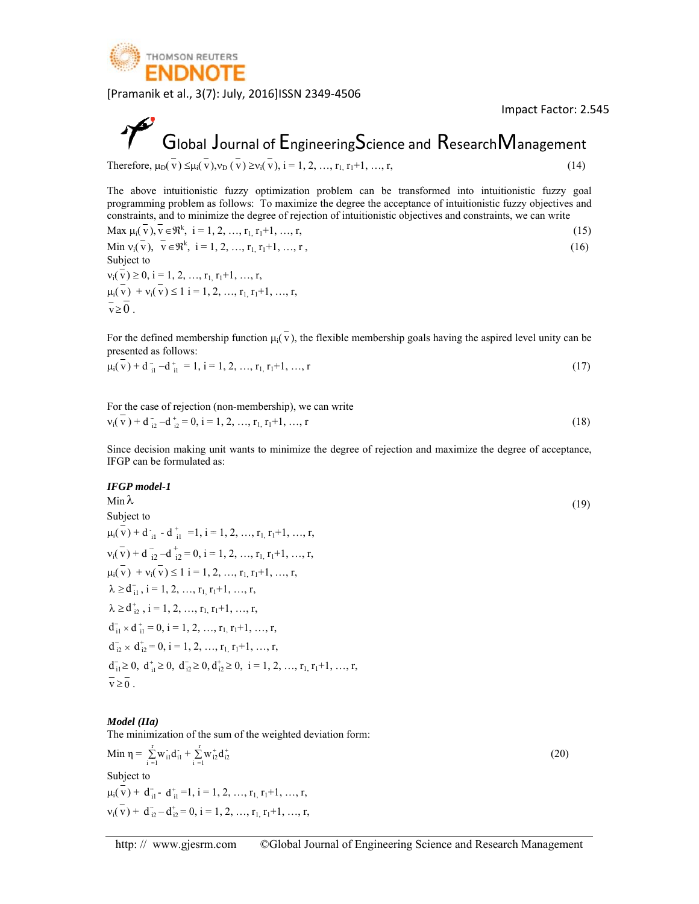

**7** Global Journal of Engineering Science and Research Management Therefore, 
$$
\mu_D(\bar{v}) \leq \mu_i(\bar{v}), v_D(\bar{v}) \geq v_i(\bar{v}), i = 1, 2, ..., r_1, r_1+1, ..., r,
$$
 (14)

The above programmi constraints e intuitionistic ing problem as s, and to minim c fuzzy optim s follows: To m mize the degree mization prob maximize the d e of rejection of lem can be degree the acc f intuitionistic transformed i eptance of intu objectives and into intuitioni uitionistic fuzz d constraints, w stic fuzzy go zy objectives an we can write nd

$$
\text{Max } \mu_i(\bar{v}), \bar{v} \in \mathfrak{R}^k, \ i = 1, 2, ..., r_1, r_1 + 1, ..., r,
$$
\n(15)

Min 
$$
v_i(\overline{v})
$$
,  $\overline{v} \in \mathfrak{R}^k$ ,  $i = 1, 2, ..., r_{1,} r_{1} + 1, ..., r$ , 
$$
(16)
$$

Subject to  $v_i(v) \geq 0$ ,  $\mu_i(v) + v_i$  $\overline{v} \geq 0$ .  $i = 1, 2, ..., r_{1}$  $(v) \le 1$  i = 1, 2  $r_1+1, \ldots, r$ ,  $2, ..., r_1, r_1+1, ..., r,$ 

For the defined membership function  $\mu_i(v)$ , the flexible membership goals having the aspired level unity can be presented a as follows:

$$
\mu_i(\mathbf{v}) + \mathbf{d}_{i1}^{\top} - \mathbf{d}_{i1}^{\top} = 1, \, i = 1, 2, \, ..., \, r_1, \, r_1 + 1, \, ..., \, r \tag{17}
$$

For the case of rejection (non-membership), we can write  $v_i(\overline{v}) + d_{i2} - d_{i2}^+ = 0$ , i = 1, 2, ...,  $r_1$ ,  $r_1+1$ , ..., r (18 8)

Since decision making unit wants to minimize the degree of rejection and maximize the degree of acceptance, IFGP can be formulated as:

#### *IFGP mod del-1*

Min λ Subject to  $\mu_i(\bar{v}) + d_{i1} - d_{i1}^+ = 1, i = 1, 2, ..., r_1, r_1 + 1, ..., r,$  $v_i(\overline{v}) + d\overline{i}$  $\mu_i(v) + \nu_i(v) \le 1$  i = 1, 2, ...,  $r_1, r_1+1, ..., r$ ,  $\lambda \ge d_{i1}^-, i = 1, 2, ..., r_{1}, r_1+1, ..., r,$  $\lambda \ge d_{i2}^{\dagger}$ ,  $i = 1, 2, ..., r_{1}, r_{1}+1, ..., r$ ,  $d_{i1}^{-} \times d_{i1}^{+} = 0$ ,  $i = 1, 2, ..., r_{1}, r_{1}+1, ..., r_{n}$  $d_{i1}^{-} \times d_{i1}^{+} = 0$ , i = 1, 2, ..., r<sub>1,</sub> r<sub>1</sub>+1, ..., r<sub>1</sub><br> $d_{i2}^{-} \times d_{i2}^{+} = 0$ , i = 1, 2, ..., r<sub>1,</sub> r<sub>1</sub>+1, ..., r<sub>1</sub>  $d_{i1}^{-} \geq 0$ ,  $d_{i2}^{+} \geq 0$ ,  $d_{i2}^{-} \geq 0$ ,  $d_{i2}^{+} \geq 0$ ,  $i = 1, 2, ..., r_{1}$ ,  $r_{1}+1, ..., r$ ,  $\overline{v} \geq 0$ .  $\bar{i}_2 - d_{i2}^+ = 0$ ,  $i = 1, 2, ..., r_{1,} r_1 + 1, ..., r_2$  $(19)$ 4)<br>oal and<br>15)<br>6)<br>be 17)<br>18)<br>ce,<br>19)

#### *Model* (*IIa*)

The minimization of the sum of the weighted deviation form:

Min η =  $\sum_{i=1}$ r i 1 Subject to  $\mu_i(\bar{v}) + d_{i1}^-$  -  $d_{i1}^+$  =1, i = 1, 2, ...,  $r_1$ ,  $r_1$ +1, ..., r,  $v_i(\overline{v}) + d_{i2}^- - d_{i2}^+ = 0$ , i = 1, 2, ...,  $r_1$ ,  $r_1+1$ , ..., r,  $w_{i1}d_{i1} + \sum_{i=1}^{1}$ r<br>- ...+  $\sum_{i=1}^{1} w_{i2}^{+} d_{i2}^{+}$ 

(20)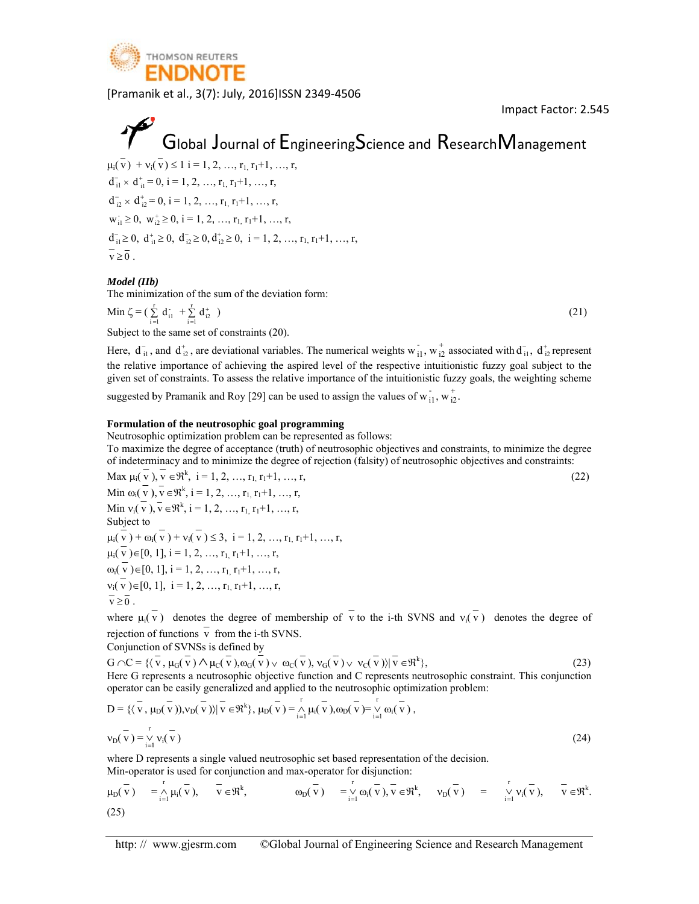

 $(21)$ 

 $(22)$ 

## Global Journal of  ${\sf Engineering}$ Science and  ${\sf Research}$ Management

 $\mu_i(v) + \nu_i(v) \le 1$  i = 1, 2, ...,  $r_1, r_1+1, ..., r$ ,  $d_{i1}^{-} \times d_{i1}^{+} = 0$ ,  $i = 1, 2, ..., r_{1}, r_{1}+1, ..., r_{n}$  $d_{i1}^{-} \times d_{i1}^{+} = 0$ , i = 1, 2, ..., r<sub>1,</sub> r<sub>1</sub>+1, ..., r<sub>1</sub><br> $d_{i2}^{-} \times d_{i2}^{+} = 0$ , i = 1, 2, ..., r<sub>1,</sub> r<sub>1</sub>+1, ..., r<sub>1</sub>  $w_{i1} \ge 0$ ,  $w_{i2}^{\dagger} \ge 0$ ,  $i = 1, 2, ..., r_{1}, r_{1}+1, ..., r$ ,  $d_{i1}^{-} \geq 0$ ,  $d_{i2}^{+} \geq 0$ ,  $d_{i2}^{-} \geq 0$ ,  $d_{i2}^{+} \geq 0$ ,  $i = 1, 2, ..., r_{1}, r_{1}+1, ..., r$ ,  $\overline{v} \geq 0$ .

#### *Model (IIb b)*

The minimization of the sum of the deviation form:

Min  $\zeta = \sum_{i=1}^{\infty}$ r 1  $d_{i1} + \sum_{i=1}^{1}$  $\sum\limits_{i=1}^r\,d^+_{i2}\,$  )

Subject to the same set of constraints (20).

Here,  $d_{i1}^-$ , and  $d_{i2}^+$ , are deviational variables. The numerical weights  $w_{i1}^-$ ,  $w_{i2}^+$  associated with  $d_{i1}^-$ ,  $d_{i2}^+$  represent the relative importance of achieving the aspired level of the respective intuitionistic fuzzy goal subject to the given set of constraints. To assess the relative importance of the intuitionistic fuzzy goals, the weighting scheme

suggested by Pramanik and Roy [29] can be used to assign the values of  $\overline{w}_{i1}$ ,  $\overline{w}_{i2}^+$ .

#### Formulation of the neutrosophic goal programming

Neutrosophic optimization problem can be represented as follows:

suggested by Pramanik and Roy [29] can be used to assign the values of  $w_{i1}^T$ ,  $w_{i2}^T$ .<br> **Formulation of the neutrosophic goal programming**<br>
Neutrosophic optimization problem can be represented as follows:<br>
To maximi of indeterminacy and to minimize the degree of rejection (falsity) of neutrosophic objectives and constraints:

Max  $\mu_i(\overline{v}), \overline{v} \in \Re^k$ ,  $i = 1, 2, ..., r_{1}, r_1+1, ..., r$ , Min  $\omega_i(\overline{v})$ ,  $\overline{v} \in \mathbb{R}^k$ ,  $i = 1, 2, ..., r_{1}, r_1+1, ..., r$ , Min  $v_i(\overline{v})$ ,  $\overline{v} \in \mathbb{R}^k$ ,  $i = 1, 2, ..., r_1, r_1+1, ..., r$ , Subject to  $\mu_i(v) + \omega_i(v) + \nu_i(v) \leq 3, i = 1, 2, ..., r_{1,} r_1 + 1, ..., r,$  $\mu_i(v) \in [0, 1], i = 1, 2, ..., r_{1,} r_1 + 1, ..., r,$  $\omega_i(v) \in [0, 1], i = 1, 2, ..., r_{1,} r_1 + 1, ..., r,$  $v_i(v) \in [0, 1], i = 1, 2, ..., r_{1,} r_1 + 1, ..., r_n$  $\overline{v} \geq 0$ .

where  $\mu_i(v)$  denotes the degree of membership of v to the i-th SVNS and  $v_i(v)$  denotes the degree of rejection o f functions v from the i-th S SVNS.

Conjunction of SVNSs is defined by

 $G \cap C = \{(\overline{v}, \mu_G(\overline{v}) \land \mu_G(\overline{v}), \omega_G(\overline{v}) \lor \omega_G(\overline{v}), v_G(\overline{v}) \lor v_G(\overline{v})\} \mid v \in \mathfrak{R}^k\},\$ Here G represents a neutrosophic objective function and C represents neutrosophic constraint. This conjunction operator can be easily generalized and applied to the neutrosophic optimization problem:  $(23)$ 

Min 
$$
\zeta = (\sum_{i=1}^{\infty} d_{ii} + \sum_{i=1}^{\infty} d_{ii}^2)
$$
 (21)  
\nSubject to the same set of constraints (20).  
\nHere,  $d_{ii}$ , and  $d_{i2}$ , are deviational variables. The numerical weights  $w_{i1}$ ,  $w_{i2}^+$  associated with  $d_{ii}$ ,  $d_{i2}^+$  represent  
\nthe relative importance of achieving the aspirative importance of the intuitionistic fuzzy goal subject to the  
\ngigested by Pramanik and Roy [29] can be used to assign the values of  $w_{i1}$ ,  $w_{i2}^+$ .  
\n**Formulation of the neutrosophic goal programming**  
\nNeutrosophic optimization problem can be represented as follows:  
\nTo maximize the degree of acceptance (truth) of neutrosophic objectives and constraints, to minimize the degree  
\nof andcentrimiacity and to minimize the degree of rejection (falsity) of neutrosophic objectives and constraints.  
\nNow,  $\mu(\bar{v})$ ,  $\bar{v} \in \Re^k$ ,  $i = 1, 2, ..., r_1, r_1 + 1, ..., r$ ,  
\nMin  $\omega_i(\bar{v})$ ,  $\bar{v} \in \Re^k$ ,  $i = 1, 2, ..., r_1, r_1 + 1, ..., r$ ,  
\n $\mu_i(\bar{v}) = (0, 1]$ ,  $i = 1, 2, ..., r_1, r_1 + 1, ..., r$ ,  
\n $\mu_i(\bar{v}) = (0, 1]$ ,  $i = 1, 2, ..., r_1, r_1 + 1, ..., r$ ,  
\n $\mu_i(\bar{v}) = (0, 1]$ ,  $i = 1, 2, ..., r_1, r_1 + 1, ..., r$ ,  
\n $\mu_i(\bar{v}) = (0, 1]$ ,  $i = 1, 2, ..., r_1, r_1 + 1, ..., r$ ,  
\n $\mu_i(\bar{v}) = (0, 1]$ ,  $i = 1, 2, ..., r_1, r_1 + 1, ..., r$ ,  
\n $\bar{\nu} \ge 0$ .  
\n $\mu_i(\bar{v}) = (0, 1]$ ,  $i = 1, 2, ..., r_1, r_1 + 1, ..., r$ ,  
\n $\bar{\nu} \ge 0$ .  
\n $\mu_i(\bar{v}) = (0,$ 

where D represents a single valued neutrosophic set based representation of the decision. Min-operator is used for conjunction and max-operator for disjunction:

$$
\mu_D(\overline{v}) = \underset{i=1}{\overset{r}{\wedge}} \mu_i(\overline{v}), \quad \overline{v} \in \mathfrak{R}^k, \qquad \omega_D(\overline{v}) = \underset{i=1}{\overset{r}{\vee}} \omega_i(\overline{v}), \overline{v} \in \mathfrak{R}^k, \quad v_D(\overline{v}) = \underset{i=1}{\overset{r}{\vee}} v_i(\overline{v}), \quad \overline{v} \in \mathfrak{R}^k.
$$
\n(25)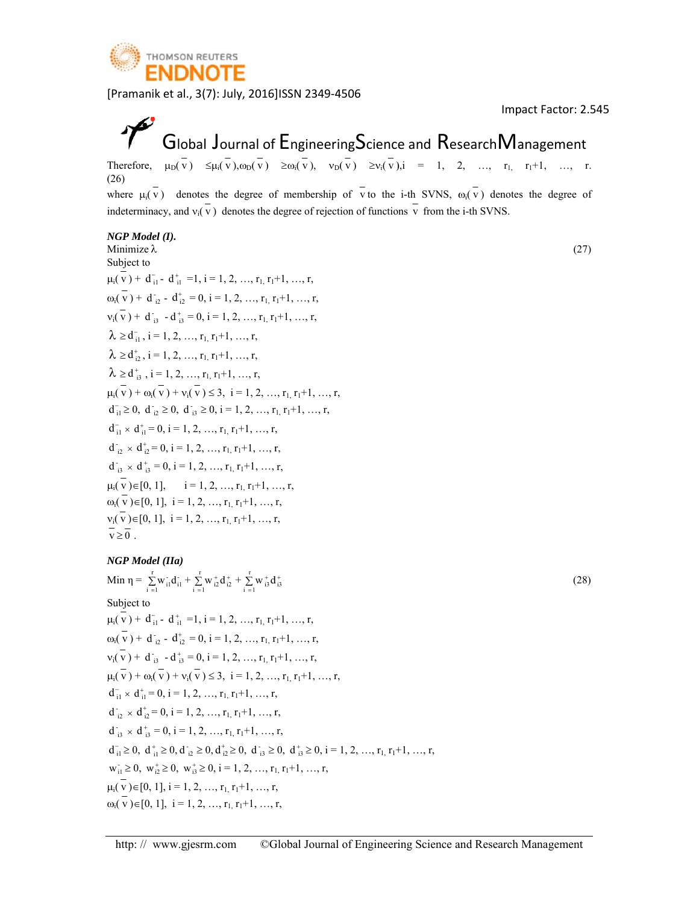

Imp pact Factor: 2 2.545

(2 7)

#### $\tilde{\mathcal{V}}$ Global Journal of  ${\sf Engineering}$ Science and  ${\sf Research}$ Management

Therefore,  $\mu_D(v) \leq \mu_i(v), \omega_D(v) \geq \omega_i(v), \quad \nu_D(v) \geq \nu_i(v), i = 1, 2, ..., r_1, r_1+1, ...,$ (26) where  $\mu_i(v)$  denotes the degree of membership of v to the i-th SVNS,  $\omega_i(v)$  denotes the degree of r.<br>
of<br>
27)<br>
28)

indeterminacy, and  $v_i(v)$  denotes the degree of rejection of functions v from the i-th SVNS.

#### *NGP Mode del (I).*

Minimize λ Subject to  $\mu_i(\overline{v}) + d_{i1}^-$  -  $d_{i1}^+$  =1, i = 1, 2, ...,  $r_1, r_1+1, ..., r$ ,  $\omega_i(\overline{v}) + d_{i2} - d_{i2}^+ = 0, i = 1, 2, ..., r_1, r_1+1, ..., r,$  $v_i(\overline{v}) + d_{i3} - d_{i3}^+ = 0, i = 1, 2, ..., r_{1}, r_1+1, ..., r,$  $\lambda \ge d_{i1}^-, i = 1, 2, ..., r_{1}, r_1+1, ..., r,$  $\lambda \ge d_{i2}^*$ , i = 1, 2, ...,  $r_1$ ,  $r_1+1$ , ..., r,  $\lambda \ge d_{i3}^{\dagger}, i = 1, 2, ..., r_{1}, r_{1}+1, ..., r,$  $\mu_i(v) + \omega_i(v) + \nu_i(v) \leq 3, \ i = 1, 2, ..., r_1, r_1+1, ..., r,$  $d_{i1}^{-} \geq 0$ ,  $d_{i2}^{-} \geq 0$ ,  $d_{i3}^{-} \geq 0$ ,  $i = 1, 2, ..., r_{1,} r_{1} + 1, ..., r_{2,}$  $d_{i1}^{-} \times d_{i1}^{+} = 0$ ,  $i = 1, 2, ..., r_{1}, r_{1}+1, ..., r$ ,  $d_{i2}^{\dagger} \times d_{i2}^{\dagger} = 0$ ,  $i = 1, 2, ..., r_{1}, r_{1}+1, ..., r_{n}$  $d_{i3}^{\dagger} \times d_{i3}^{\dagger} = 0$ ,  $i = 1, 2, ..., r_{1}, r_{1}+1, ..., r_{n}$  $\mu_i(v) \in [0, 1], \quad i = 1, 2, ..., r_1, r_1+1, ..., r,$  $\omega_i(v) \in [0, 1], i = 1, 2, ..., r_{1,} r_1 + 1, ..., r,$  $v_i(v) \in [0, 1], i = 1, 2, ..., r_{1,} r_1 + 1, ..., r,$  $\overline{v} \geq 0$ .

#### *NGP Mode del (IIa)*

Min 
$$
\eta = \sum_{i=1}^{r} w_{i1}^{*} d_{i1}^{*} + \sum_{i=1}^{r} w_{i2}^{*} d_{i2}^{*} + \sum_{i=1}^{r} w_{i3}^{*} d_{i3}^{*}
$$
  
\nSubject to  
\n $\mu_{i}(\overline{v}) + d_{i1}^{-} - d_{i1}^{*} = 1, i = 1, 2, ..., r_{1}, r_{1} + 1, ..., r,$   
\n $\omega_{i}(\overline{v}) + d_{i2}^{-} - d_{i2}^{*} = 0, i = 1, 2, ..., r_{1}, r_{1} + 1, ..., r,$   
\n $v_{i}(\overline{v}) + d_{i3}^{-} - d_{i3}^{*} = 0, i = 1, 2, ..., r_{1}, r_{1} + 1, ..., r,$   
\n $\mu_{i}(\overline{v}) + \omega_{i}(\overline{v}) + v_{i}(\overline{v}) \le 3, i = 1, 2, ..., r_{1}, r_{1} + 1, ..., r,$   
\n $d_{i1}^{-} \times d_{i1}^{*} = 0, i = 1, 2, ..., r_{1}, r_{1} + 1, ..., r,$   
\n $d_{i2}^{-} \times d_{i2}^{*} = 0, i = 1, 2, ..., r_{1}, r_{1} + 1, ..., r,$   
\n $d_{i3}^{-} \times d_{i3}^{*} = 0, i = 1, 2, ..., r_{1}, r_{1} + 1, ..., r,$   
\n $d_{i1}^{-} \ge 0, d_{i1}^{*} \ge 0, d_{i2}^{-} \ge 0, d_{i2}^{*} \ge 0, d_{i3}^{-} \ge 0, d_{i3}^{*} \ge 0, i = 1, 2, ..., r_{1}, r_{1} + 1, ..., r,$   
\n $w_{i1}^{-} \ge 0, w_{i2}^{*} \ge 0, w_{i3}^{*} \ge 0, i = 1, 2, ..., r_{1}, r_{1} + 1, ..., r,$   
\n $\mu_{i}(\overline{v}) \in [0, 1], i = 1, 2, ..., r_{1}, r_{1} + 1, ..., r,$   
\n $\omega_{i}(\overline{v}) \in [0, 1], i = 1, 2, ...,$ 

(2 8)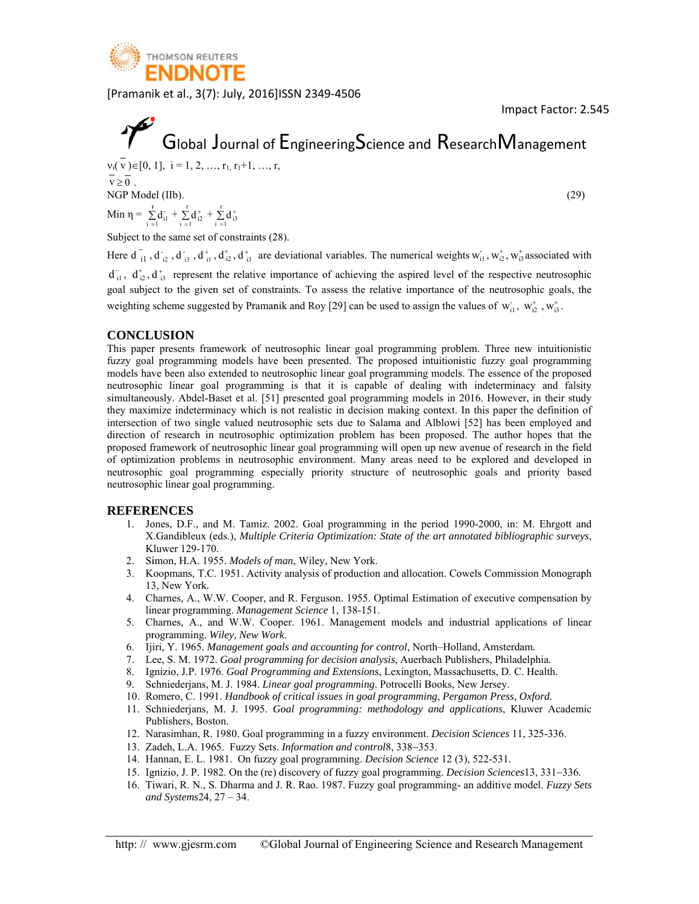

Impact Factor: 2.545

# Global Journal of EngineeringScience and ResearchManagement

 $v_i(\overline{v}) \in [0, 1], i = 1, 2, ..., r_1, r_1+1, ..., r,$  $\overline{v} > \overline{0}$ NGP Model (IIb). Min  $\eta = \sum_{i=1}^{r} d_{i1}^{2} + \sum_{i=1}^{r} d_{i2}^{2} + \sum_{i=1}^{r} d_{i3}^{2}$ 

 $(29)$ 

Subject to the same set of constraints (28).

Here  $d_{11}$ ,  $d_{12}$ ,  $d_{13}$ ,  $d_{11}^+$ ,  $d_{12}^+$ ,  $d_{13}^+$  are deviational variables. The numerical weights  $W_{11}$ ,  $W_{12}^+$ ,  $W_{13}^+$  associated with  $d_{i1}^{\dagger}$ ,  $d_{i2}^{\dagger}$ ,  $d_{i3}^{\dagger}$  represent the relative importance of achieving the aspired level of the respective neutrosophic goal subject to the given set of constraints. To assess the relative importance of the neutrosophic goals, the weighting scheme suggested by Pramanik and Roy [29] can be used to assign the values of  $w_{i1}$ ,  $w_{i2}^+$ ,  $w_{i3}^+$ .

#### **CONCLUSION**

This paper presents framework of neutrosophic linear goal programming problem. Three new intuitionistic fuzzy goal programming models have been presented. The proposed intuitionistic fuzzy goal programming models have been also extended to neutrosophic linear goal programming models. The essence of the proposed neutrosophic linear goal programming is that it is capable of dealing with indeterminacy and falsity simultaneously. Abdel-Baset et al. [51] presented goal programming models in 2016. However, in their study they maximize indeterminacy which is not realistic in decision making context. In this paper the definition of intersection of two single valued neutrosophic sets due to Salama and Alblowi [52] has been employed and direction of research in neutrosophic optimization problem has been proposed. The author hopes that the proposed framework of neutrosophic linear goal programming will open up new avenue of research in the field of optimization problems in neutrosophic environment. Many areas need to be explored and developed in neutrosophic goal programming especially priority structure of neutrosophic goals and priority based neutrosophic linear goal programming.

#### **REFERENCES**

- 1. Jones, D.F., and M. Tamiz. 2002. Goal programming in the period 1990-2000, in: M. Ehrgott and X.Gandibleux (eds.), Multiple Criteria Optimization: State of the art annotated bibliographic surveys, Kluwer 129-170.
- 2. Simon, H.A. 1955. Models of man, Wiley, New York.
- Koopmans, T.C. 1951. Activity analysis of production and allocation. Cowels Commission Monograph  $3<sub>1</sub>$ 13, New York.
- 4. Charnes, A., W.W. Cooper, and R. Ferguson. 1955. Optimal Estimation of executive compensation by linear programming. Management Science 1, 138-151.
- 5. Charnes, A., and W.W. Cooper. 1961. Management models and industrial applications of linear programming. Wiley, New Work.
- 6. Ijiri, Y. 1965. Management goals and accounting for control, North-Holland, Amsterdam.
- 7. Lee, S. M. 1972. Goal programming for decision analysis, Auerbach Publishers, Philadelphia.
- 8. Ignizio, J.P. 1976. Goal Programming and Extensions, Lexington, Massachusetts, D. C. Health.
- 9. Schniederjans, M. J. 1984. Linear goal programming. Potrocelli Books, New Jersey.
- 10. Romero, C. 1991. Handbook of critical issues in goal programming, Pergamon Press, Oxford.
- 11. Schniederjans, M. J. 1995. Goal programming: methodology and applications, Kluwer Academic Publishers, Boston.
- 12. Narasimhan, R. 1980. Goal programming in a fuzzy environment. Decision Sciences 11, 325-336.
- 13. Zadeh, L.A. 1965. Fuzzy Sets. Information and control8, 338-353.
- 14. Hannan, E. L. 1981. On fuzzy goal programming. Decision Science 12 (3), 522-531.
- 15. Ignizio, J. P. 1982. On the (re) discovery of fuzzy goal programming. *Decision Sciences*13, 331-336.
- 16. Tiwari, R. N., S. Dharma and J. R. Rao. 1987. Fuzzy goal programming- an additive model. Fuzzy Sets and Systems24,  $27 - 34$ .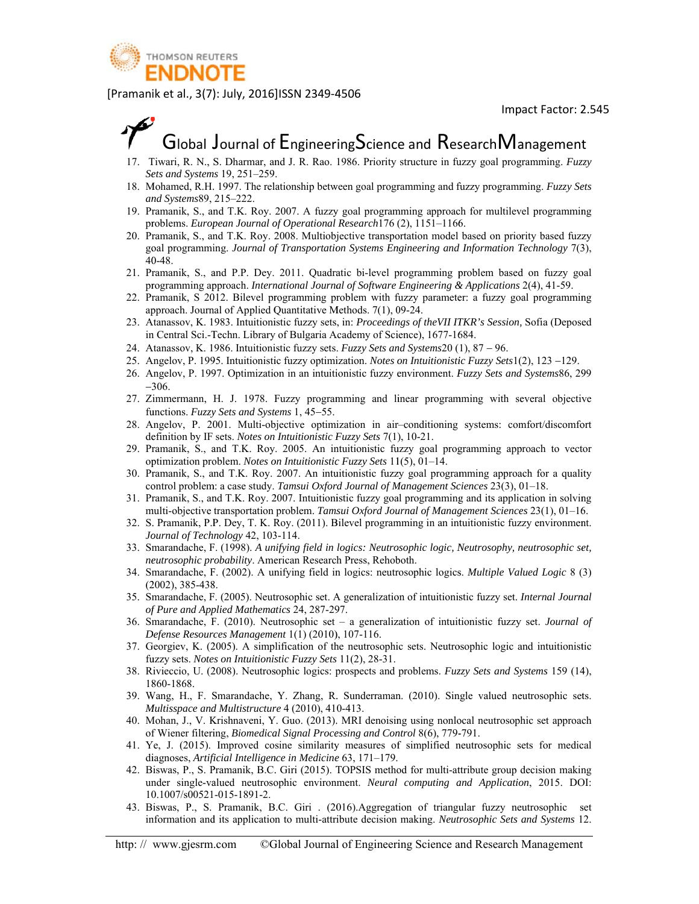

### Global Journal of EngineeringScience and ResearchManagement

- 17. Tiwari, R. N., S. Dharmar, and J. R. Rao. 1986. Priority structure in fuzzy goal programming. Fuzzy Sets and Systems 19, 251-259.
- 18. Mohamed, R.H. 1997. The relationship between goal programming and fuzzy programming. Fuzzy Sets and Systems89, 215-222.
- 19. Pramanik, S., and T.K. Roy. 2007. A fuzzy goal programming approach for multilevel programming problems. European Journal of Operational Research176 (2), 1151–1166.
- 20. Pramanik, S., and T.K. Roy. 2008. Multiobjective transportation model based on priority based fuzzy goal programming. Journal of Transportation Systems Engineering and Information Technology 7(3),  $40 - 48$ .
- 21. Pramanik, S., and P.P. Dey. 2011. Quadratic bi-level programming problem based on fuzzy goal programming approach. International Journal of Software Engineering & Applications 2(4), 41-59.
- 22. Pramanik, S 2012. Bilevel programming problem with fuzzy parameter: a fuzzy goal programming approach. Journal of Applied Quantitative Methods. 7(1), 09-24.
- 23. Atanassov, K. 1983. Intuitionistic fuzzy sets, in: Proceedings of the VII ITKR's Session, Sofia (Deposed in Central Sci.-Techn. Library of Bulgaria Academy of Science), 1677-1684.
- 24. Atanassov, K. 1986. Intuitionistic fuzzy sets. Fuzzy Sets and Systems20 (1), 87 96.
- 25. Angelov, P. 1995. Intuitionistic fuzzy optimization. Notes on Intuitionistic Fuzzy Sets1(2), 123 –129.
- 26. Angelov, P. 1997. Optimization in an intuitionistic fuzzy environment. Fuzzy Sets and Systems86, 299  $-306$
- 27. Zimmermann, H. J. 1978. Fuzzy programming and linear programming with several objective functions. Fuzzy Sets and Systems 1, 45–55.
- 28. Angelov, P. 2001. Multi-objective optimization in air-conditioning systems: comfort/discomfort definition by IF sets. Notes on Intuitionistic Fuzzy Sets  $7(1)$ , 10-21.
- 29. Pramanik, S., and T.K. Roy. 2005. An intuitionistic fuzzy goal programming approach to vector optimization problem. Notes on Intuitionistic Fuzzy Sets 11(5), 01–14.
- 30. Pramanik, S., and T.K. Roy. 2007. An intuitionistic fuzzy goal programming approach for a quality control problem: a case study. Tamsui Oxford Journal of Management Sciences 23(3), 01-18.
- 31. Pramanik, S., and T.K. Roy. 2007. Intuitionistic fuzzy goal programming and its application in solving multi-objective transportation problem. Tamsui Oxford Journal of Management Sciences 23(1), 01–16.
- 32. S. Pramanik, P.P. Dey, T. K. Roy. (2011). Bilevel programming in an intuitionistic fuzzy environment. Journal of Technology 42, 103-114.
- 33. Smarandache, F. (1998). A unifying field in logics: Neutrosophic logic, Neutrosophy, neutrosophic set, neutrosophic probability. American Research Press, Rehoboth.
- 34. Smarandache, F. (2002). A unifying field in logics: neutrosophic logics. Multiple Valued Logic 8 (3)  $(2002)$ , 385-438.
- 35. Smarandache, F. (2005). Neutrosophic set. A generalization of intuitionistic fuzzy set. Internal Journal of Pure and Applied Mathematics 24, 287-297.
- 36. Smarandache, F. (2010). Neutrosophic set a generalization of intuitionistic fuzzy set. Journal of Defense Resources Management 1(1) (2010), 107-116.
- 37. Georgiev, K. (2005). A simplification of the neutrosophic sets. Neutrosophic logic and intuitionistic fuzzy sets. Notes on Intuitionistic Fuzzy Sets 11(2), 28-31.
- 38. Rivieccio, U. (2008). Neutrosophic logics: prospects and problems. *Fuzzy Sets and Systems* 159 (14), 1860-1868.
- 39. Wang, H., F. Smarandache, Y. Zhang, R. Sunderraman. (2010). Single valued neutrosophic sets. Multisspace and Multistructure 4 (2010), 410-413.
- 40. Mohan, J., V. Krishnaveni, Y. Guo. (2013). MRI denoising using nonlocal neutrosophic set approach of Wiener filtering, Biomedical Signal Processing and Control 8(6), 779-791.
- 41. Ye, J. (2015). Improved cosine similarity measures of simplified neutrosophic sets for medical diagnoses, Artificial Intelligence in Medicine 63, 171-179.
- 42. Biswas, P., S. Pramanik, B.C. Giri (2015). TOPSIS method for multi-attribute group decision making under single-valued neutrosophic environment. Neural computing and Application, 2015. DOI: 10.1007/s00521-015-1891-2.
- 43. Biswas, P., S. Pramanik, B.C. Giri . (2016). Aggregation of triangular fuzzy neutrosophic set information and its application to multi-attribute decision making. Neutrosophic Sets and Systems 12.